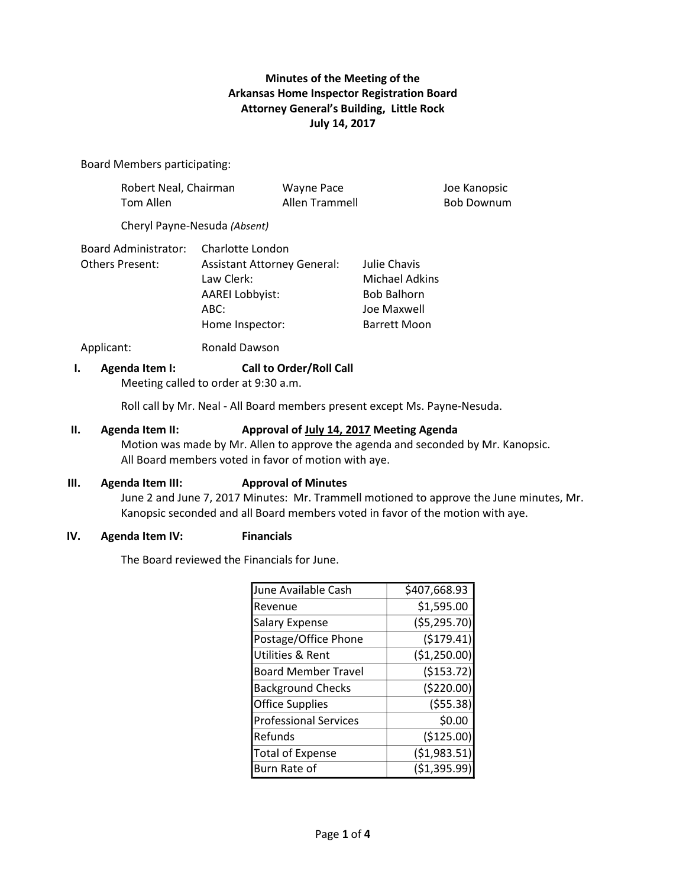# **Minutes of the Meeting of the Arkansas Home Inspector Registration Board Attorney General's Building, Little Rock July 14, 2017**

### Board Members participating:

| Robert Neal, Chairman<br>Tom Allen      |                                                                                                                              | <b>Wayne Pace</b><br>Allen Trammell |                                                                                                   | Joe Kanopsic<br><b>Bob Downum</b> |
|-----------------------------------------|------------------------------------------------------------------------------------------------------------------------------|-------------------------------------|---------------------------------------------------------------------------------------------------|-----------------------------------|
|                                         | Cheryl Payne-Nesuda (Absent)                                                                                                 |                                     |                                                                                                   |                                   |
| Board Administrator:<br>Others Present: | Charlotte London<br><b>Assistant Attorney General:</b><br>Law Clerk:<br><b>AAREI Lobbyist:</b><br>$ABC$ :<br>Home Inspector: |                                     | Julie Chavis<br><b>Michael Adkins</b><br><b>Bob Balhorn</b><br>Joe Maxwell<br><b>Barrett Moon</b> |                                   |
| Applicant:                              | <b>Ronald Dawson</b>                                                                                                         |                                     |                                                                                                   |                                   |

### **I. Agenda Item I: Call to Order/Roll Call**

Meeting called to order at 9:30 a.m.

Roll call by Mr. Neal - All Board members present except Ms. Payne-Nesuda.

#### **II. Agenda Item II: Approval of July 14, 2017 Meeting Agenda**

Motion was made by Mr. Allen to approve the agenda and seconded by Mr. Kanopsic. All Board members voted in favor of motion with aye.

#### **III. Agenda Item III: Approval of Minutes**

June 2 and June 7, 2017 Minutes: Mr. Trammell motioned to approve the June minutes, Mr. Kanopsic seconded and all Board members voted in favor of the motion with aye.

### **IV. Agenda Item IV: Financials**

The Board reviewed the Financials for June.

| June Available Cash          | \$407,668.93  |  |
|------------------------------|---------------|--|
| lRevenue                     | \$1,595.00    |  |
| <b>Salary Expense</b>        | ( \$5,295.70) |  |
| Postage/Office Phone         | (5179.41)     |  |
| Utilities & Rent             | (\$1,250.00)  |  |
| <b>Board Member Travel</b>   | ( \$153.72)   |  |
| <b>Background Checks</b>     | (\$220.00)    |  |
| <b>Office Supplies</b>       | (555.38)      |  |
| <b>Professional Services</b> | \$0.00        |  |
| lRefunds                     | (\$125.00)    |  |
| <b>Total of Expense</b>      | ( \$1,983.51) |  |
| Burn Rate of                 | ( \$1,395.99) |  |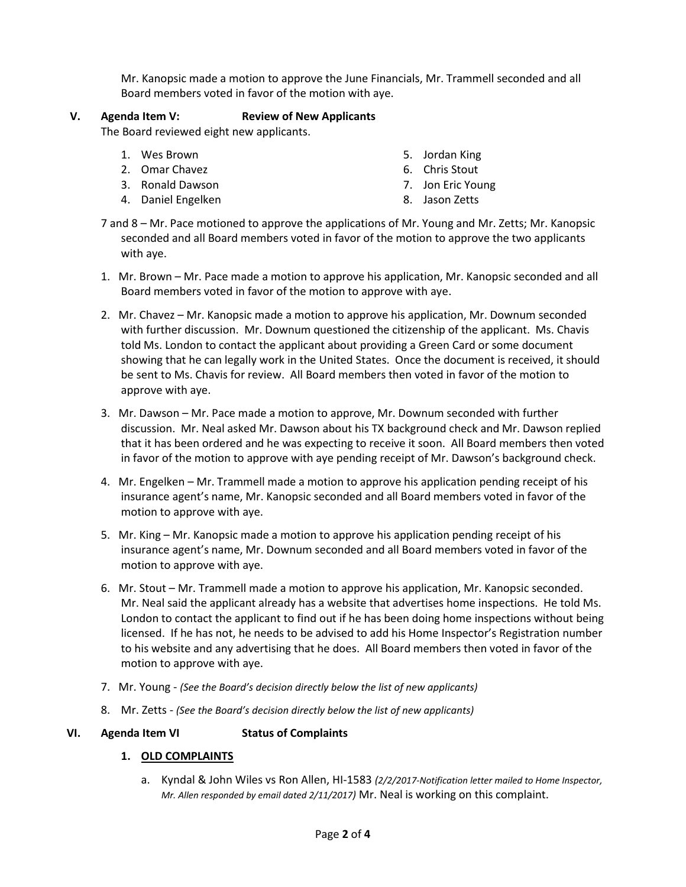Mr. Kanopsic made a motion to approve the June Financials, Mr. Trammell seconded and all Board members voted in favor of the motion with aye.

# **V. Agenda Item V: Review of New Applicants**

The Board reviewed eight new applicants.

- 1. Wes Brown
- 2. Omar Chavez
- 3. Ronald Dawson
- 4. Daniel Engelken
- 5. Jordan King
- 6. Chris Stout
- 7. Jon Eric Young
- 8. Jason Zetts
- 7 and 8 Mr. Pace motioned to approve the applications of Mr. Young and Mr. Zetts; Mr. Kanopsic seconded and all Board members voted in favor of the motion to approve the two applicants with aye.
- 1. Mr. Brown Mr. Pace made a motion to approve his application, Mr. Kanopsic seconded and all Board members voted in favor of the motion to approve with aye.
- 2. Mr. Chavez Mr. Kanopsic made a motion to approve his application, Mr. Downum seconded with further discussion. Mr. Downum questioned the citizenship of the applicant. Ms. Chavis told Ms. London to contact the applicant about providing a Green Card or some document showing that he can legally work in the United States. Once the document is received, it should be sent to Ms. Chavis for review. All Board members then voted in favor of the motion to approve with aye.
- 3. Mr. Dawson Mr. Pace made a motion to approve, Mr. Downum seconded with further discussion. Mr. Neal asked Mr. Dawson about his TX background check and Mr. Dawson replied that it has been ordered and he was expecting to receive it soon. All Board members then voted in favor of the motion to approve with aye pending receipt of Mr. Dawson's background check.
- 4. Mr. Engelken Mr. Trammell made a motion to approve his application pending receipt of his insurance agent's name, Mr. Kanopsic seconded and all Board members voted in favor of the motion to approve with aye.
- 5. Mr. King Mr. Kanopsic made a motion to approve his application pending receipt of his insurance agent's name, Mr. Downum seconded and all Board members voted in favor of the motion to approve with aye.
- 6. Mr. Stout Mr. Trammell made a motion to approve his application, Mr. Kanopsic seconded. Mr. Neal said the applicant already has a website that advertises home inspections. He told Ms. London to contact the applicant to find out if he has been doing home inspections without being licensed. If he has not, he needs to be advised to add his Home Inspector's Registration number to his website and any advertising that he does. All Board members then voted in favor of the motion to approve with aye.
- 7. Mr. Young *(See the Board's decision directly below the list of new applicants)*
- 8. Mr. Zetts *(See the Board's decision directly below the list of new applicants)*

## **VI. Agenda Item VI Status of Complaints**

## **1. OLD COMPLAINTS**

a. Kyndal & John Wiles vs Ron Allen, HI-1583 *(2/2/2017-Notification letter mailed to Home Inspector, Mr. Allen responded by email dated 2/11/2017)* Mr. Neal is working on this complaint.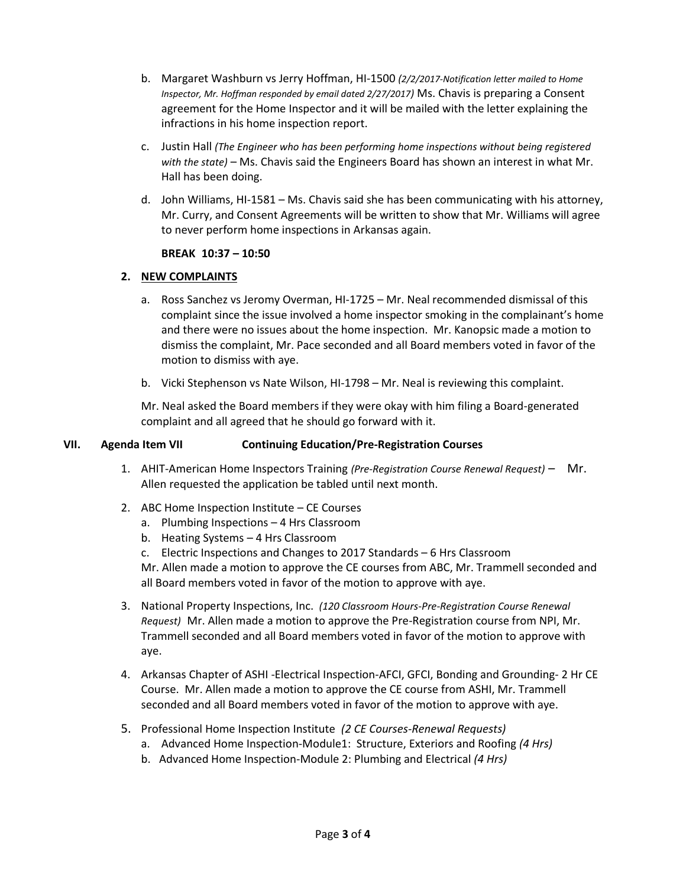- b. Margaret Washburn vs Jerry Hoffman, HI-1500 *(2/2/2017-Notification letter mailed to Home Inspector, Mr. Hoffman responded by email dated 2/27/2017)* Ms. Chavis is preparing a Consent agreement for the Home Inspector and it will be mailed with the letter explaining the infractions in his home inspection report.
- c. Justin Hall *(The Engineer who has been performing home inspections without being registered with the state)* – Ms. Chavis said the Engineers Board has shown an interest in what Mr. Hall has been doing.
- d. John Williams, HI-1581 Ms. Chavis said she has been communicating with his attorney, Mr. Curry, and Consent Agreements will be written to show that Mr. Williams will agree to never perform home inspections in Arkansas again.

## **BREAK 10:37 – 10:50**

# **2. NEW COMPLAINTS**

- a. Ross Sanchez vs Jeromy Overman, HI-1725 Mr. Neal recommended dismissal of this complaint since the issue involved a home inspector smoking in the complainant's home and there were no issues about the home inspection. Mr. Kanopsic made a motion to dismiss the complaint, Mr. Pace seconded and all Board members voted in favor of the motion to dismiss with aye.
- b. Vicki Stephenson vs Nate Wilson, HI-1798 Mr. Neal is reviewing this complaint.

Mr. Neal asked the Board members if they were okay with him filing a Board-generated complaint and all agreed that he should go forward with it.

# **VII. Agenda Item VII Continuing Education/Pre-Registration Courses**

- 1. AHIT-American Home Inspectors Training *(Pre-Registration Course Renewal Request)* Mr. Allen requested the application be tabled until next month.
- 2. ABC Home Inspection Institute CE Courses
	- a. Plumbing Inspections 4 Hrs Classroom
	- b. Heating Systems 4 Hrs Classroom
	- c. Electric Inspections and Changes to 2017 Standards 6 Hrs Classroom

Mr. Allen made a motion to approve the CE courses from ABC, Mr. Trammell seconded and all Board members voted in favor of the motion to approve with aye.

- 3. National Property Inspections, Inc. *(120 Classroom Hours-Pre-Registration Course Renewal Request)* Mr. Allen made a motion to approve the Pre-Registration course from NPI, Mr. Trammell seconded and all Board members voted in favor of the motion to approve with aye.
- 4. Arkansas Chapter of ASHI -Electrical Inspection-AFCI, GFCI, Bonding and Grounding- 2 Hr CE Course. Mr. Allen made a motion to approve the CE course from ASHI, Mr. Trammell seconded and all Board members voted in favor of the motion to approve with aye.
- 5. Professional Home Inspection Institute *(2 CE Courses-Renewal Requests)*
	- a. Advanced Home Inspection-Module1: Structure, Exteriors and Roofing *(4 Hrs)*
	- b. Advanced Home Inspection-Module 2: Plumbing and Electrical *(4 Hrs)*